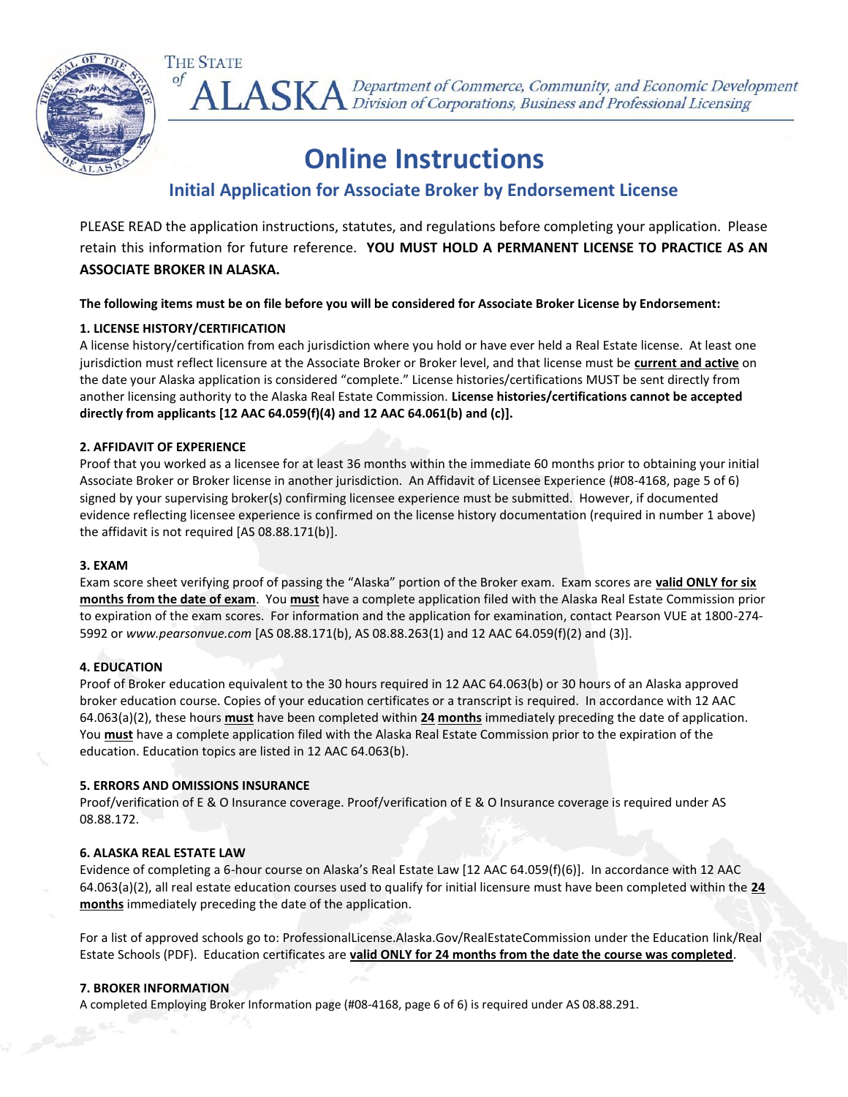

ALASKA Department of Commerce, Community, and Economic Development<br>ALASKA Division of Corporations, Business and Professional Licensing

# **Online Instructions**

### **Initial Application for Associate Broker by Endorsement License**

PLEASE READ the application instructions, statutes, and regulations before completing your application. Please retain this information for future reference. **YOU MUST HOLD A PERMANENT LICENSE TO PRACTICE AS AN ASSOCIATE BROKER IN ALASKA.**

**The following items must be on file before you will be considered for Associate Broker License by Endorsement:**

#### **1. LICENSE HISTORY/CERTIFICATION**

**THE STATE** 

 $\circ f$ 

A license history/certification from each jurisdiction where you hold or have ever held a Real Estate license. At least one jurisdiction must reflect licensure at the Associate Broker or Broker level, and that license must be **current and active** on the date your Alaska application is considered "complete." License histories/certifications MUST be sent directly from another licensing authority to the Alaska Real Estate Commission. **License histories/certifications cannot be accepted directly from applicants [12 AAC 64.059(f)(4) and 12 AAC 64.061(b) and (c)].**

#### **2. AFFIDAVIT OF EXPERIENCE**

Proof that you worked as a licensee for at least 36 months within the immediate 60 months prior to obtaining your initial Associate Broker or Broker license in another jurisdiction. An Affidavit of Licensee Experience (#08-4168, page 5 of 6) signed by your supervising broker(s) confirming licensee experience must be submitted. However, if documented evidence reflecting licensee experience is confirmed on the license history documentation (required in number 1 above) the affidavit is not required [AS 08.88.171(b)].

#### **3. EXAM**

Exam score sheet verifying proof of passing the "Alaska" portion of the Broker exam. Exam scores are **valid ONLY for six months from the date of exam**. You **must** have a complete application filed with the Alaska Real Estate Commission prior to expiration of the exam scores. For information and the application for examination, contact Pearson VUE at 1800-274- 5992 or *www.pearsonvue.com* [AS 08.88.171(b), AS 08.88.263(1) and 12 AAC 64.059(f)(2) and (3)].

#### **4. EDUCATION**

Proof of Broker education equivalent to the 30 hours required in 12 AAC 64.063(b) or 30 hours of an Alaska approved broker education course. Copies of your education certificates or a transcript is required. In accordance with 12 AAC 64.063(a)(2), these hours **must** have been completed within **24 months** immediately preceding the date of application. You **must** have a complete application filed with the Alaska Real Estate Commission prior to the expiration of the education. Education topics are listed in 12 AAC 64.063(b).

#### **5. ERRORS AND OMISSIONS INSURANCE**

Proof/verification of E & O Insurance coverage. Proof/verification of E & O Insurance coverage is required under AS 08.88.172.

#### **6. ALASKA REAL ESTATE LAW**

Evidence of completing a 6-hour course on Alaska's Real Estate Law [12 AAC 64.059(f)(6)]. In accordance with 12 AAC 64.063(a)(2), all real estate education courses used to qualify for initial licensure must have been completed within the **24 months** immediately preceding the date of the application.

For a list of approved schools go to: ProfessionalLicense.Alaska.Gov/RealEstateCommission under the Education link/Real Estate Schools (PDF). Education certificates are **valid ONLY for 24 months from the date the course was completed**.

#### **7. BROKER INFORMATION**

A completed Employing Broker Information page (#08-4168, page 6 of 6) is required under AS 08.88.291.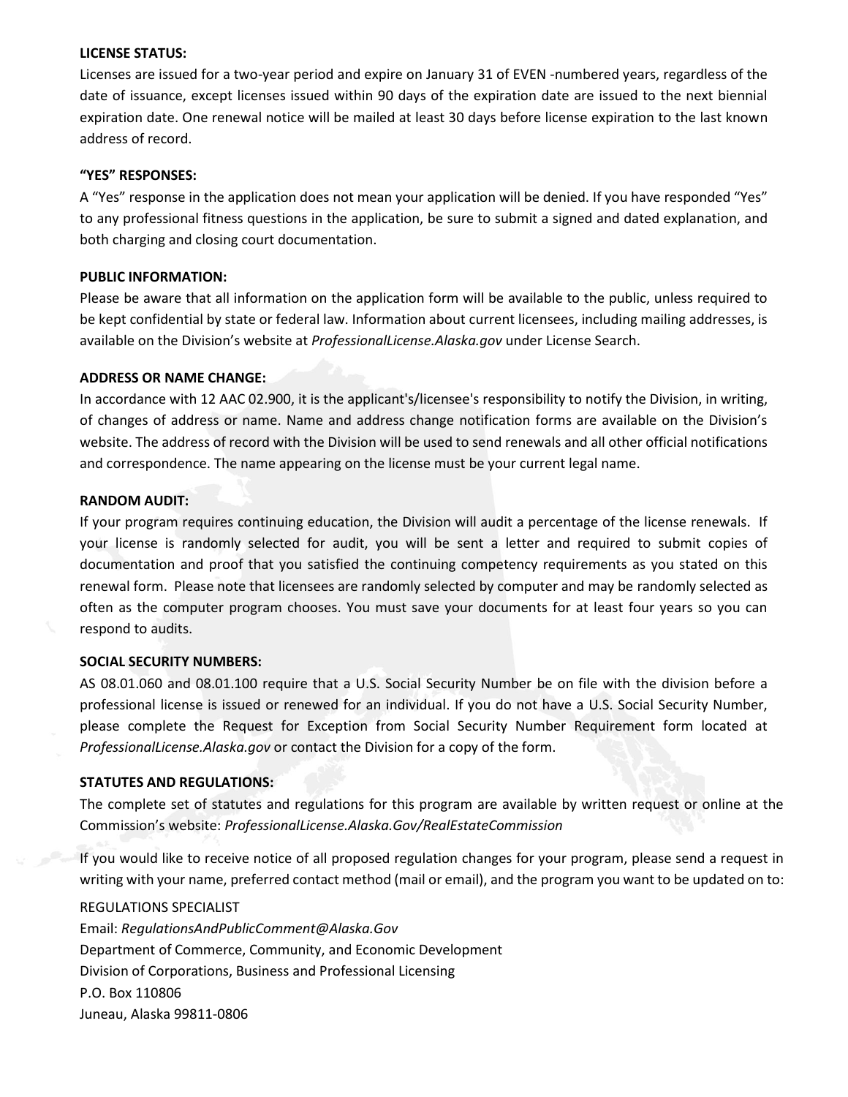#### **LICENSE STATUS:**

Licenses are issued for a two-year period and expire on January 31 of EVEN -numbered years, regardless of the date of issuance, except licenses issued within 90 days of the expiration date are issued to the next biennial expiration date. One renewal notice will be mailed at least 30 days before license expiration to the last known address of record.

#### **"YES" RESPONSES:**

A "Yes" response in the application does not mean your application will be denied. If you have responded "Yes" to any professional fitness questions in the application, be sure to submit a signed and dated explanation, and both charging and closing court documentation.

#### **PUBLIC INFORMATION:**

Please be aware that all information on the application form will be available to the public, unless required to be kept confidential by state or federal law. Information about current licensees, including mailing addresses, is available on the Division's website at *ProfessionalLicense.Alaska.gov* under License Search.

#### **ADDRESS OR NAME CHANGE:**

In accordance with 12 AAC 02.900, it is the applicant's/licensee's responsibility to notify the Division, in writing, of changes of address or name. Name and address change notification forms are available on the Division's website. The address of record with the Division will be used to send renewals and all other official notifications and correspondence. The name appearing on the license must be your current legal name.

#### **RANDOM AUDIT:**

If your program requires continuing education, the Division will audit a percentage of the license renewals. If your license is randomly selected for audit, you will be sent a letter and required to submit copies of documentation and proof that you satisfied the continuing competency requirements as you stated on this renewal form. Please note that licensees are randomly selected by computer and may be randomly selected as often as the computer program chooses. You must save your documents for at least four years so you can respond to audits.

#### **SOCIAL SECURITY NUMBERS:**

AS 08.01.060 and 08.01.100 require that a U.S. Social Security Number be on file with the division before a professional license is issued or renewed for an individual. If you do not have a U.S. Social Security Number, please complete the Request for Exception from Social Security Number Requirement form located at *ProfessionalLicense.Alaska.gov* or contact the Division for a copy of the form.

#### **STATUTES AND REGULATIONS:**

The complete set of statutes and regulations for this program are available by written request or online at the Commission's website: *ProfessionalLicense.Alaska.Gov/RealEstateCommission*

If you would like to receive notice of all proposed regulation changes for your program, please send a request in writing with your name, preferred contact method (mail or email), and the program you want to be updated on to:

#### REGULATIONS SPECIALIST

Email: *RegulationsAndPublicComment@Alaska.Gov* Department of Commerce, Community, and Economic Development Division of Corporations, Business and Professional Licensing P.O. Box 110806 Juneau, Alaska 99811-0806